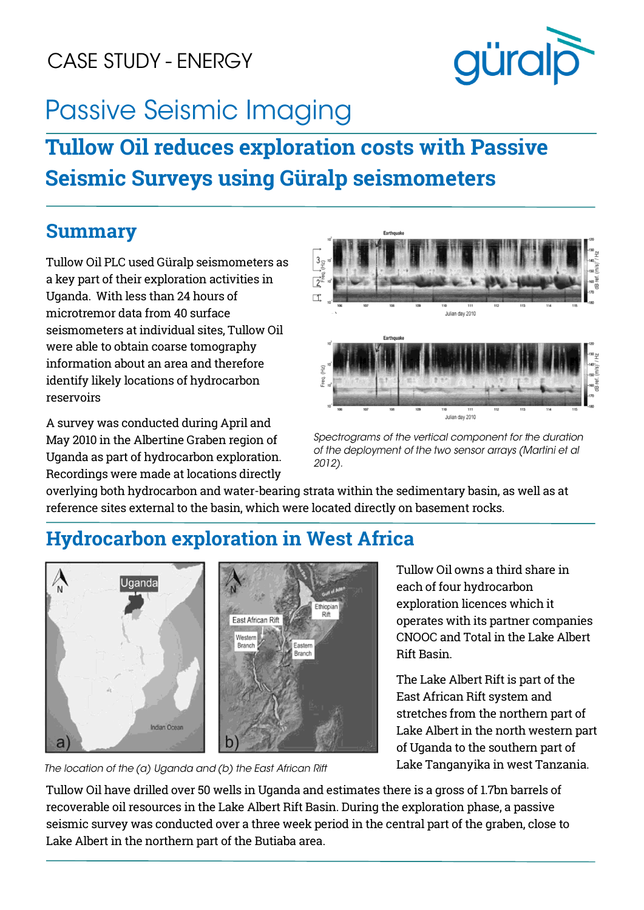## CASE STUDY - ENERGY



# **Passive Seismic Imaging**

## **Tullow Oil reduces exploration costs with Passive Seismic Surveys using Güralp seismometers**

#### **Summary**

Tullow Oil PLC used Güralp seismometers as a key part of their exploration activities in Uganda. With less than 24 hours of microtremor data from 40 surface seismometers at individual sites, Tullow Oil were able to obtain coarse tomography information about an area and therefore identify likely locations of hydrocarbon reservoirs

A survey was conducted during April and May 2010 in the Albertine Graben region of Uganda as part of hydrocarbon exploration. Recordings were made at locations directly



Spectrograms of the vertical component for the duration of the deployment of the two sensor arrays (Martini et al 2012).

overlying both hydrocarbon and water-bearing strata within the sedimentary basin, as well as at reference sites external to the basin, which were located directly on basement rocks.

### **Hydrocarbon exploration in West Africa**



The location of the (a) Uganda and (b) the East African Rift

Tullow Oil owns a third share in each of four hydrocarbon exploration licences which it operates with its partner companies CNOOC and Total in the Lake Albert Rift Basin.

The Lake Albert Rift is part of the East African Rift system and stretches from the northern part of Lake Albert in the north western part of Uganda to the southern part of Lake Tanganyika in west Tanzania.

Tullow Oil have drilled over 50 wells in Uganda and estimates there is a gross of 1.7bn barrels of recoverable oil resources in the Lake Albert Rift Basin. During the exploration phase, a passive seismic survey was conducted over a three week period in the central part of the graben, close to Lake Albert in the northern part of the Butiaba area.